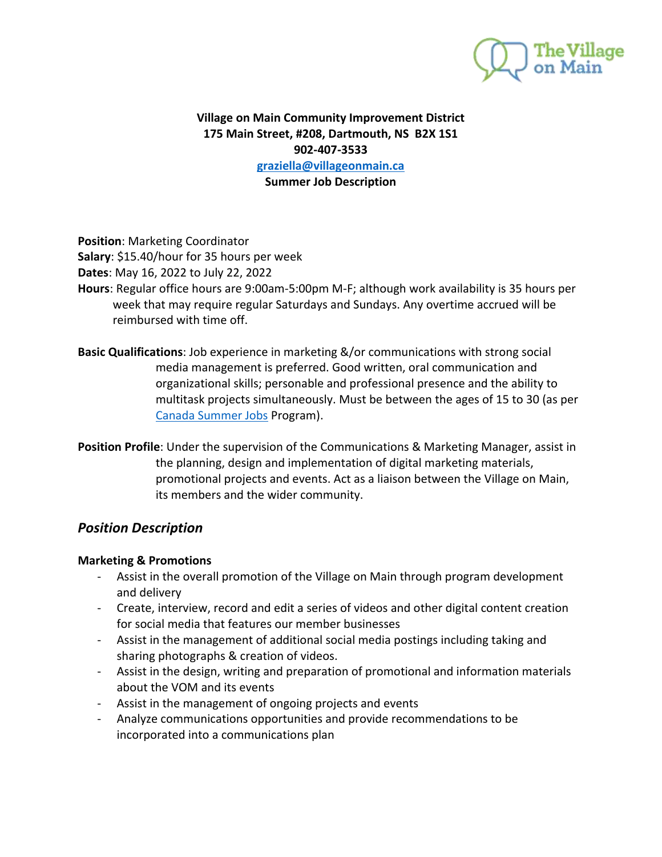

## **Village on Main Community Improvement District 175 Main Street, #208, Dartmouth, NS B2X 1S1 902-407-3533 [graziella@villageonmain.ca](mailto:graziella@villageonmain.ca) Summer Job Description**

**Position**: Marketing Coordinator

**Salary**: \$15.40/hour for 35 hours per week

**Dates**: May 16, 2022 to July 22, 2022

- **Hours**: Regular office hours are 9:00am-5:00pm M-F; although work availability is 35 hours per week that may require regular Saturdays and Sundays. Any overtime accrued will be reimbursed with time off.
- **Basic Qualifications**: Job experience in marketing &/or communications with strong social media management is preferred. Good written, oral communication and organizational skills; personable and professional presence and the ability to multitask projects simultaneously. Must be between the ages of 15 to 30 (as per [Canada Summer Jobs](https://www.canada.ca/en/employment-social-development/services/funding/canada-summer-jobs.html) Program).
- **Position Profile**: Under the supervision of the Communications & Marketing Manager, assist in the planning, design and implementation of digital marketing materials, promotional projects and events. Act as a liaison between the Village on Main, its members and the wider community.

# *Position Description*

### **Marketing & Promotions**

- Assist in the overall promotion of the Village on Main through program development and delivery
- Create, interview, record and edit a series of videos and other digital content creation for social media that features our member businesses
- Assist in the management of additional social media postings including taking and sharing photographs & creation of videos.
- Assist in the design, writing and preparation of promotional and information materials about the VOM and its events
- Assist in the management of ongoing projects and events
- Analyze communications opportunities and provide recommendations to be incorporated into a communications plan